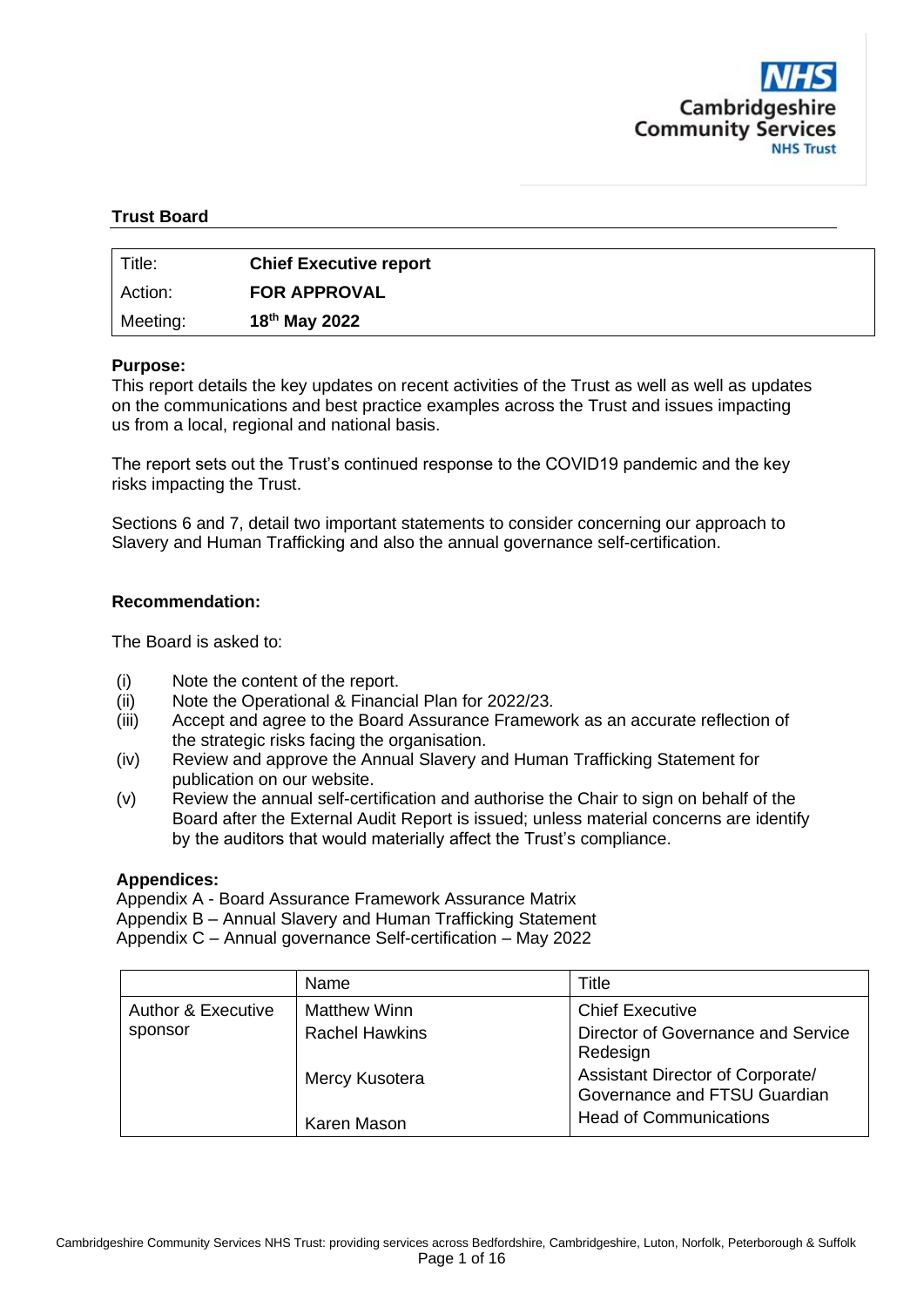

#### **Trust Board**

| Title:   | <b>Chief Executive report</b> |
|----------|-------------------------------|
| Action:  | <b>FOR APPROVAL</b>           |
| Meeting: | 18 <sup>th</sup> May 2022     |

#### **Purpose:**

This report details the key updates on recent activities of the Trust as well as well as updates on the communications and best practice examples across the Trust and issues impacting us from a local, regional and national basis.

The report sets out the Trust's continued response to the COVID19 pandemic and the key risks impacting the Trust.

Sections 6 and 7, detail two important statements to consider concerning our approach to Slavery and Human Trafficking and also the annual governance self-certification.

#### **Recommendation:**

The Board is asked to:

- (i) Note the content of the report.
- (ii) Note the Operational & Financial Plan for 2022/23.
- (iii) Accept and agree to the Board Assurance Framework as an accurate reflection of the strategic risks facing the organisation.
- (iv) Review and approve the Annual Slavery and Human Trafficking Statement for publication on our website.
- (v) Review the annual self-certification and authorise the Chair to sign on behalf of the Board after the External Audit Report is issued; unless material concerns are identify by the auditors that would materially affect the Trust's compliance.

#### **Appendices:**

Appendix A - Board Assurance Framework Assurance Matrix Appendix B – Annual Slavery and Human Trafficking Statement Appendix C – Annual governance Self-certification – May 2022

|                               | Name                  | Title                                                            |
|-------------------------------|-----------------------|------------------------------------------------------------------|
| <b>Author &amp; Executive</b> | <b>Matthew Winn</b>   | <b>Chief Executive</b>                                           |
| sponsor                       | <b>Rachel Hawkins</b> | Director of Governance and Service<br>Redesign                   |
|                               | Mercy Kusotera        | Assistant Director of Corporate/<br>Governance and FTSU Guardian |
|                               | Karen Mason           | <b>Head of Communications</b>                                    |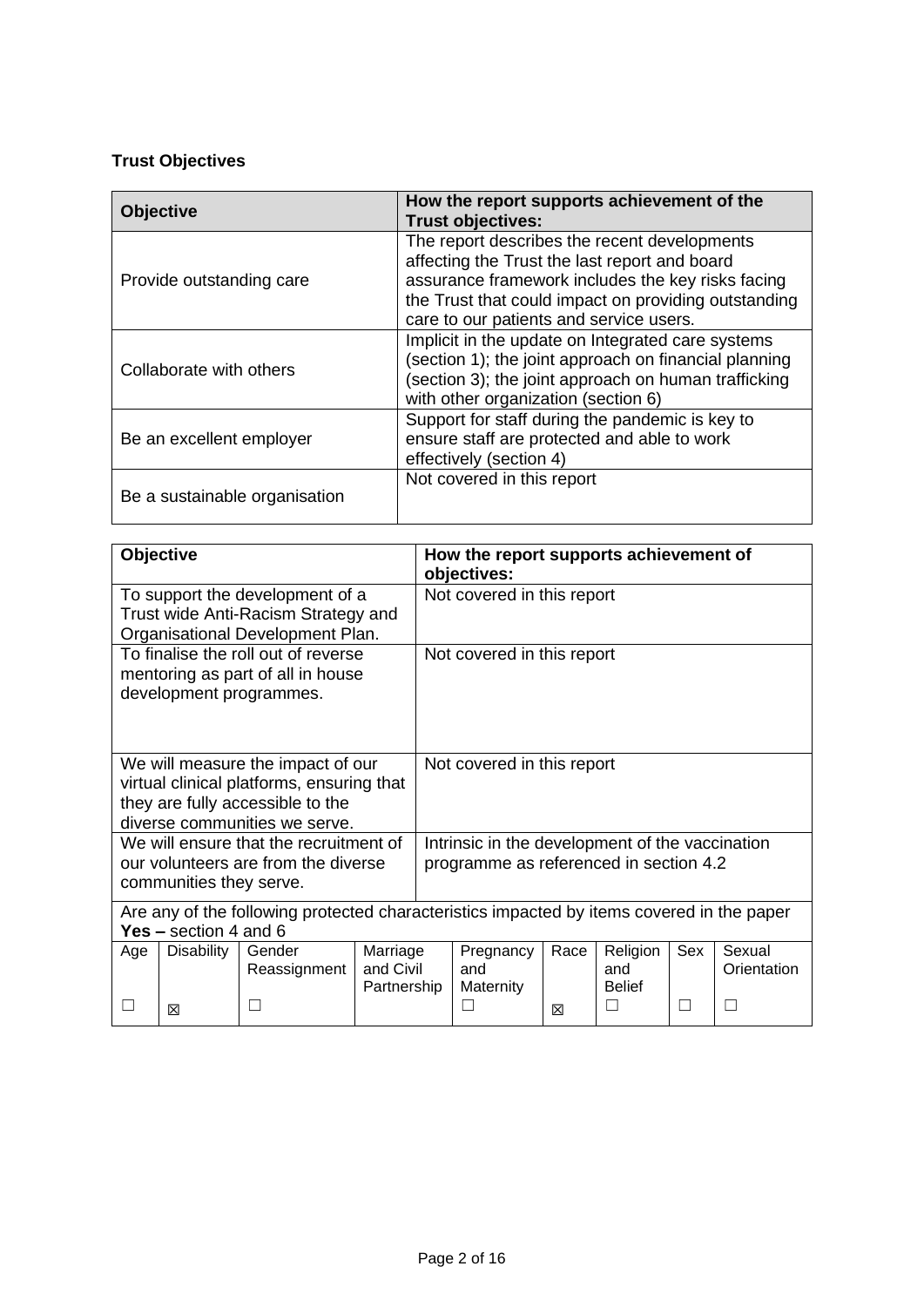### **Trust Objectives**

| <b>Objective</b>              | How the report supports achievement of the<br><b>Trust objectives:</b>                                                                                                                                                                                |  |  |  |  |  |
|-------------------------------|-------------------------------------------------------------------------------------------------------------------------------------------------------------------------------------------------------------------------------------------------------|--|--|--|--|--|
| Provide outstanding care      | The report describes the recent developments<br>affecting the Trust the last report and board<br>assurance framework includes the key risks facing<br>the Trust that could impact on providing outstanding<br>care to our patients and service users. |  |  |  |  |  |
| Collaborate with others       | Implicit in the update on Integrated care systems<br>(section 1); the joint approach on financial planning<br>(section 3); the joint approach on human trafficking<br>with other organization (section 6)                                             |  |  |  |  |  |
| Be an excellent employer      | Support for staff during the pandemic is key to<br>ensure staff are protected and able to work<br>effectively (section 4)                                                                                                                             |  |  |  |  |  |
| Be a sustainable organisation | Not covered in this report                                                                                                                                                                                                                            |  |  |  |  |  |

|     | Objective                                                                                                            |                                                                                                                                                     |                                      | How the report supports achievement of<br>objectives: |                                                                                           |           |                                        |     |                       |  |  |  |
|-----|----------------------------------------------------------------------------------------------------------------------|-----------------------------------------------------------------------------------------------------------------------------------------------------|--------------------------------------|-------------------------------------------------------|-------------------------------------------------------------------------------------------|-----------|----------------------------------------|-----|-----------------------|--|--|--|
|     |                                                                                                                      | To support the development of a<br>Trust wide Anti-Racism Strategy and<br>Organisational Development Plan.                                          |                                      | Not covered in this report                            |                                                                                           |           |                                        |     |                       |  |  |  |
|     |                                                                                                                      | To finalise the roll out of reverse<br>mentoring as part of all in house<br>development programmes.                                                 |                                      |                                                       | Not covered in this report                                                                |           |                                        |     |                       |  |  |  |
|     |                                                                                                                      | We will measure the impact of our<br>virtual clinical platforms, ensuring that<br>they are fully accessible to the<br>diverse communities we serve. |                                      | Not covered in this report                            |                                                                                           |           |                                        |     |                       |  |  |  |
|     | communities they serve.                                                                                              | We will ensure that the recruitment of<br>our volunteers are from the diverse                                                                       |                                      |                                                       | Intrinsic in the development of the vaccination<br>programme as referenced in section 4.2 |           |                                        |     |                       |  |  |  |
|     | Are any of the following protected characteristics impacted by items covered in the paper<br>Yes $-$ section 4 and 6 |                                                                                                                                                     |                                      |                                                       |                                                                                           |           |                                        |     |                       |  |  |  |
| Age | <b>Disability</b>                                                                                                    | Gender<br>Reassignment                                                                                                                              | Marriage<br>and Civil<br>Partnership |                                                       | Pregnancy<br>and<br>Maternity                                                             | Race<br>冈 | Religion<br>and<br><b>Belief</b><br>m. | Sex | Sexual<br>Orientation |  |  |  |
|     | 冈                                                                                                                    |                                                                                                                                                     |                                      |                                                       |                                                                                           |           |                                        |     |                       |  |  |  |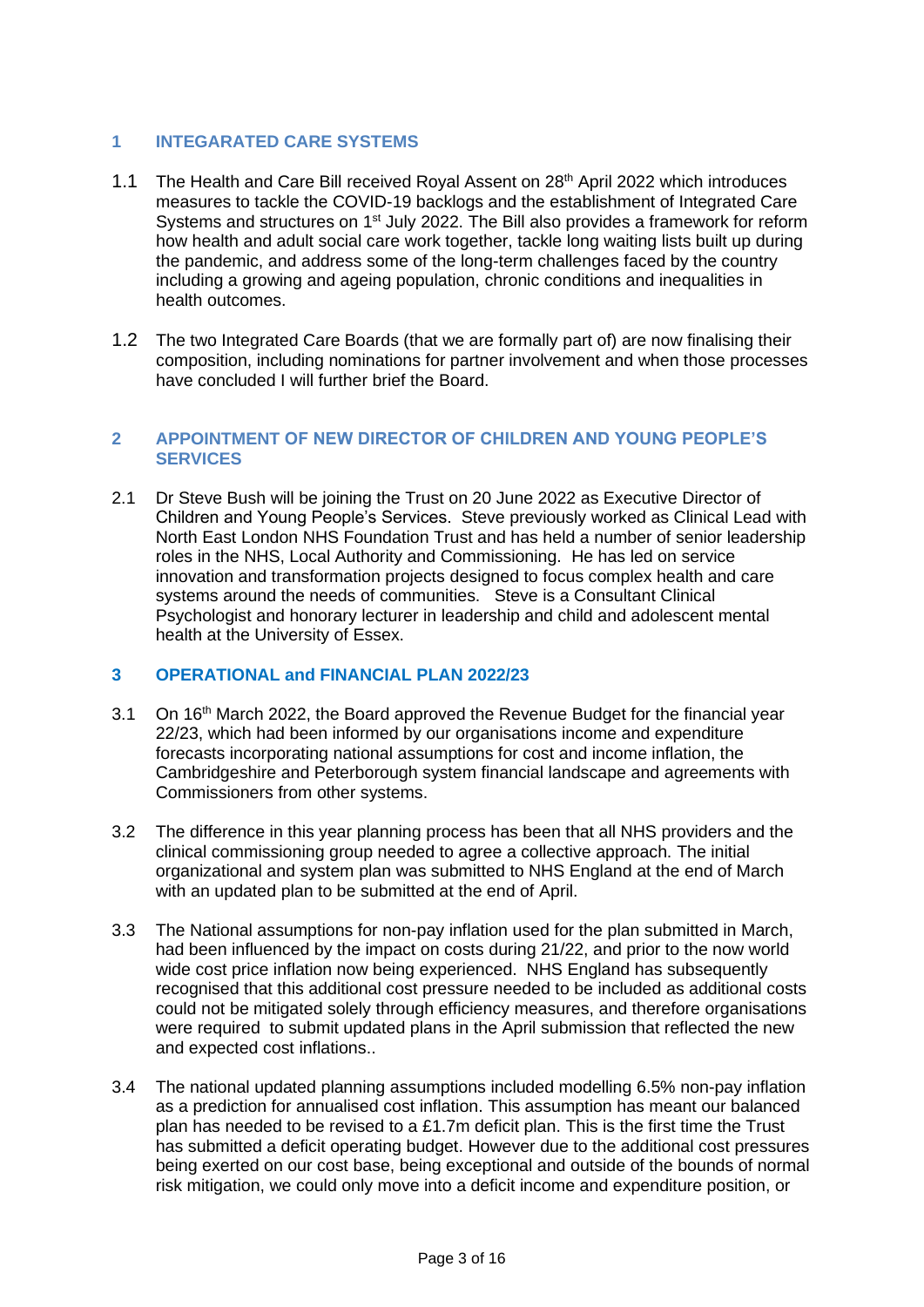#### **1 INTEGARATED CARE SYSTEMS**

- 1.1 The Health and Care Bill received Royal Assent on 28th April 2022 which introduces measures to tackle the COVID-19 backlogs and the establishment of Integrated Care Systems and structures on 1<sup>st</sup> July 2022. The Bill also provides a framework for reform how health and adult social care work together, tackle long waiting lists built up during the pandemic, and address some of the long-term challenges faced by the country including a growing and ageing population, chronic conditions and inequalities in health outcomes.
- 1.2 The two Integrated Care Boards (that we are formally part of) are now finalising their composition, including nominations for partner involvement and when those processes have concluded I will further brief the Board.

#### **2 APPOINTMENT OF NEW DIRECTOR OF CHILDREN AND YOUNG PEOPLE'S SERVICES**

2.1 Dr Steve Bush will be joining the Trust on 20 June 2022 as Executive Director of Children and Young People's Services. Steve previously worked as Clinical Lead with North East London NHS Foundation Trust and has held a number of senior leadership roles in the NHS, Local Authority and Commissioning. He has led on service innovation and transformation projects designed to focus complex health and care systems around the needs of communities. Steve is a Consultant Clinical Psychologist and honorary lecturer in leadership and child and adolescent mental health at the University of Essex.

#### **3 OPERATIONAL and FINANCIAL PLAN 2022/23**

- 3.1 On 16th March 2022, the Board approved the Revenue Budget for the financial year 22/23, which had been informed by our organisations income and expenditure forecasts incorporating national assumptions for cost and income inflation, the Cambridgeshire and Peterborough system financial landscape and agreements with Commissioners from other systems.
- 3.2 The difference in this year planning process has been that all NHS providers and the clinical commissioning group needed to agree a collective approach. The initial organizational and system plan was submitted to NHS England at the end of March with an updated plan to be submitted at the end of April.
- 3.3 The National assumptions for non-pay inflation used for the plan submitted in March, had been influenced by the impact on costs during 21/22, and prior to the now world wide cost price inflation now being experienced. NHS England has subsequently recognised that this additional cost pressure needed to be included as additional costs could not be mitigated solely through efficiency measures, and therefore organisations were required to submit updated plans in the April submission that reflected the new and expected cost inflations..
- 3.4 The national updated planning assumptions included modelling 6.5% non-pay inflation as a prediction for annualised cost inflation. This assumption has meant our balanced plan has needed to be revised to a £1.7m deficit plan. This is the first time the Trust has submitted a deficit operating budget. However due to the additional cost pressures being exerted on our cost base, being exceptional and outside of the bounds of normal risk mitigation, we could only move into a deficit income and expenditure position, or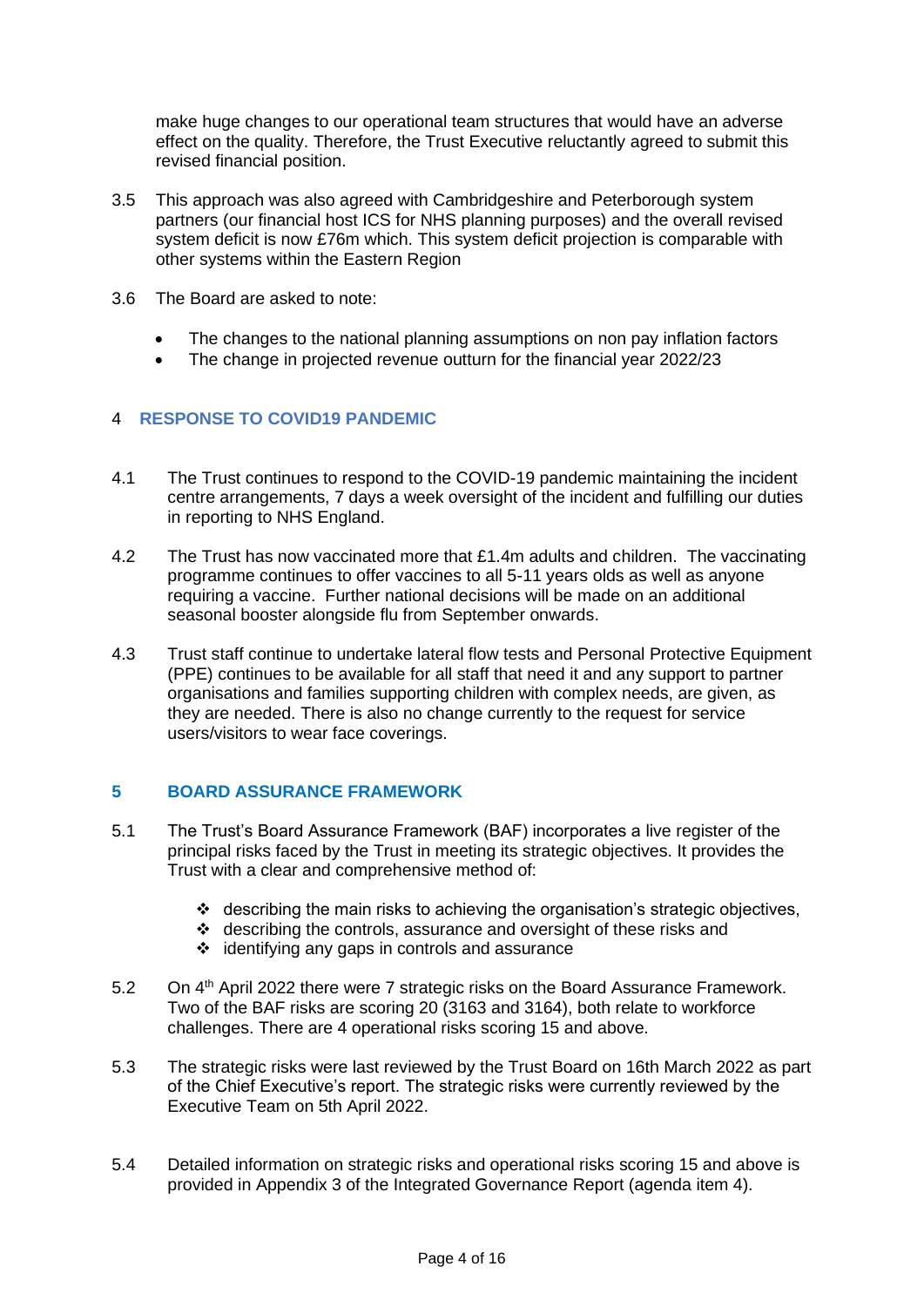make huge changes to our operational team structures that would have an adverse effect on the quality. Therefore, the Trust Executive reluctantly agreed to submit this revised financial position.

- 3.5 This approach was also agreed with Cambridgeshire and Peterborough system partners (our financial host ICS for NHS planning purposes) and the overall revised system deficit is now £76m which. This system deficit projection is comparable with other systems within the Eastern Region
- 3.6 The Board are asked to note:
	- The changes to the national planning assumptions on non pay inflation factors
	- The change in projected revenue outturn for the financial year 2022/23

#### 4 **RESPONSE TO COVID19 PANDEMIC**

- 4.1 The Trust continues to respond to the COVID-19 pandemic maintaining the incident centre arrangements, 7 days a week oversight of the incident and fulfilling our duties in reporting to NHS England.
- 4.2 The Trust has now vaccinated more that £1.4m adults and children. The vaccinating programme continues to offer vaccines to all 5-11 years olds as well as anyone requiring a vaccine. Further national decisions will be made on an additional seasonal booster alongside flu from September onwards.
- 4.3 Trust staff continue to undertake lateral flow tests and Personal Protective Equipment (PPE) continues to be available for all staff that need it and any support to partner organisations and families supporting children with complex needs, are given, as they are needed. There is also no change currently to the request for service users/visitors to wear face coverings.

#### **5 BOARD ASSURANCE FRAMEWORK**

- 5.1 The Trust's Board Assurance Framework (BAF) incorporates a live register of the principal risks faced by the Trust in meeting its strategic objectives. It provides the Trust with a clear and comprehensive method of:
	- ❖ describing the main risks to achieving the organisation's strategic objectives,
	- ❖ describing the controls, assurance and oversight of these risks and
	- ❖ identifying any gaps in controls and assurance
- 5.2 On 4<sup>th</sup> April 2022 there were 7 strategic risks on the Board Assurance Framework. Two of the BAF risks are scoring 20 (3163 and 3164), both relate to workforce challenges. There are 4 operational risks scoring 15 and above.
- 5.3 The strategic risks were last reviewed by the Trust Board on 16th March 2022 as part of the Chief Executive's report. The strategic risks were currently reviewed by the Executive Team on 5th April 2022.
- 5.4 Detailed information on strategic risks and operational risks scoring 15 and above is provided in Appendix 3 of the Integrated Governance Report (agenda item 4).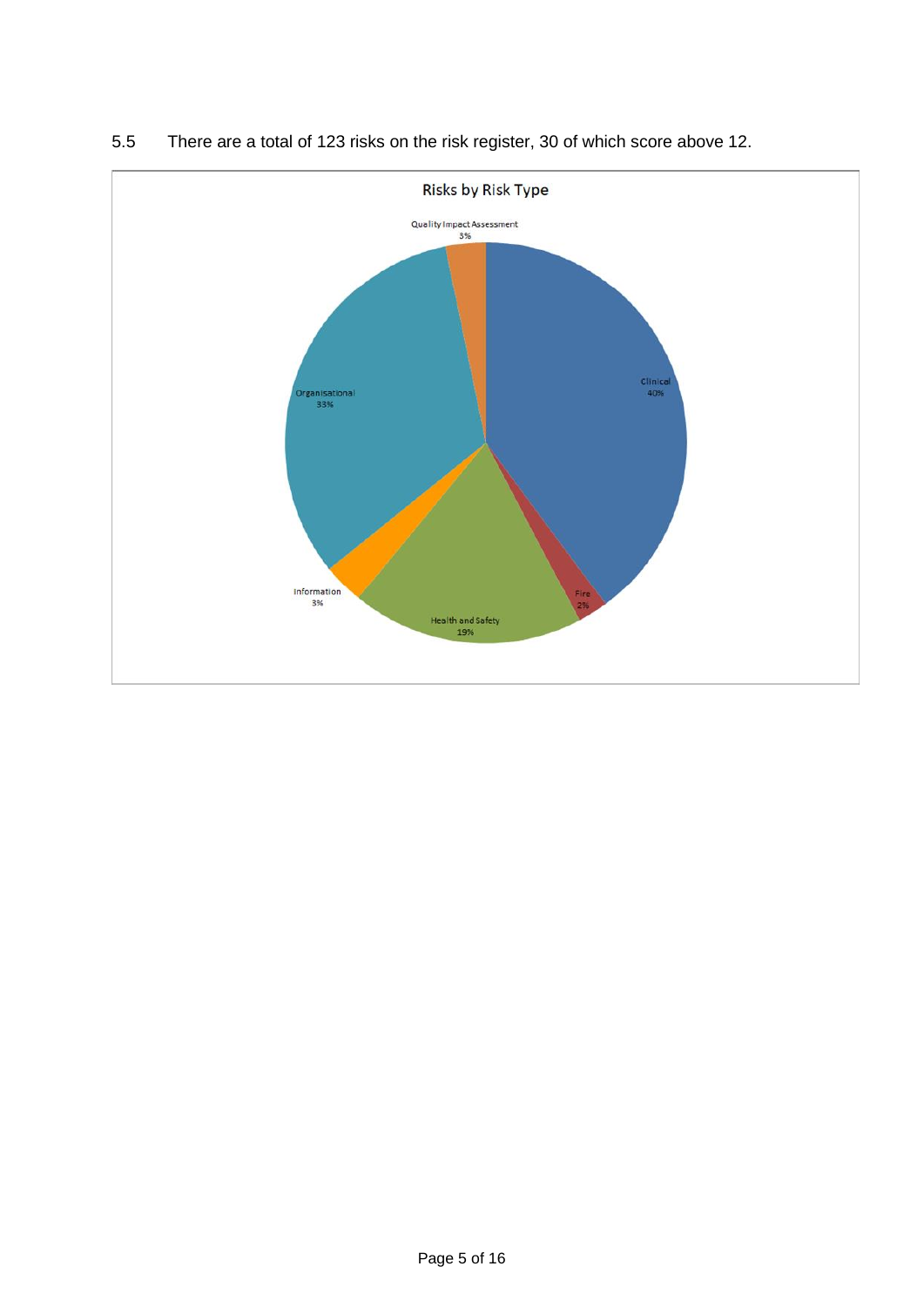

5.5 There are a total of 123 risks on the risk register, 30 of which score above 12.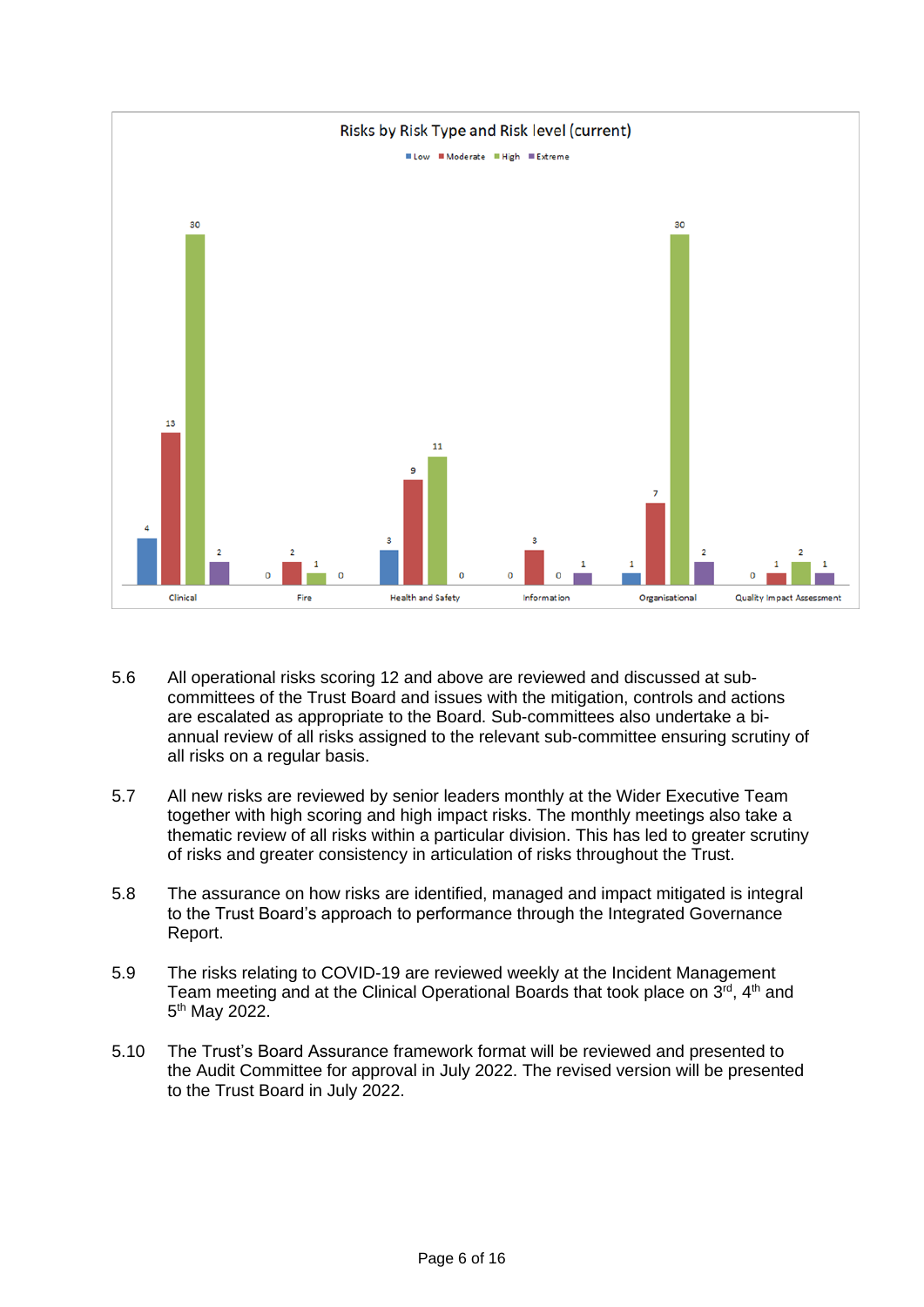

- 5.6 All operational risks scoring 12 and above are reviewed and discussed at subcommittees of the Trust Board and issues with the mitigation, controls and actions are escalated as appropriate to the Board. Sub-committees also undertake a biannual review of all risks assigned to the relevant sub-committee ensuring scrutiny of all risks on a regular basis.
- 5.7 All new risks are reviewed by senior leaders monthly at the Wider Executive Team together with high scoring and high impact risks. The monthly meetings also take a thematic review of all risks within a particular division. This has led to greater scrutiny of risks and greater consistency in articulation of risks throughout the Trust.
- 5.8 The assurance on how risks are identified, managed and impact mitigated is integral to the Trust Board's approach to performance through the Integrated Governance Report.
- 5.9 The risks relating to COVID-19 are reviewed weekly at the Incident Management Team meeting and at the Clinical Operational Boards that took place on 3<sup>rd</sup>, 4<sup>th</sup> and 5<sup>th</sup> May 2022.
- 5.10 The Trust's Board Assurance framework format will be reviewed and presented to the Audit Committee for approval in July 2022. The revised version will be presented to the Trust Board in July 2022.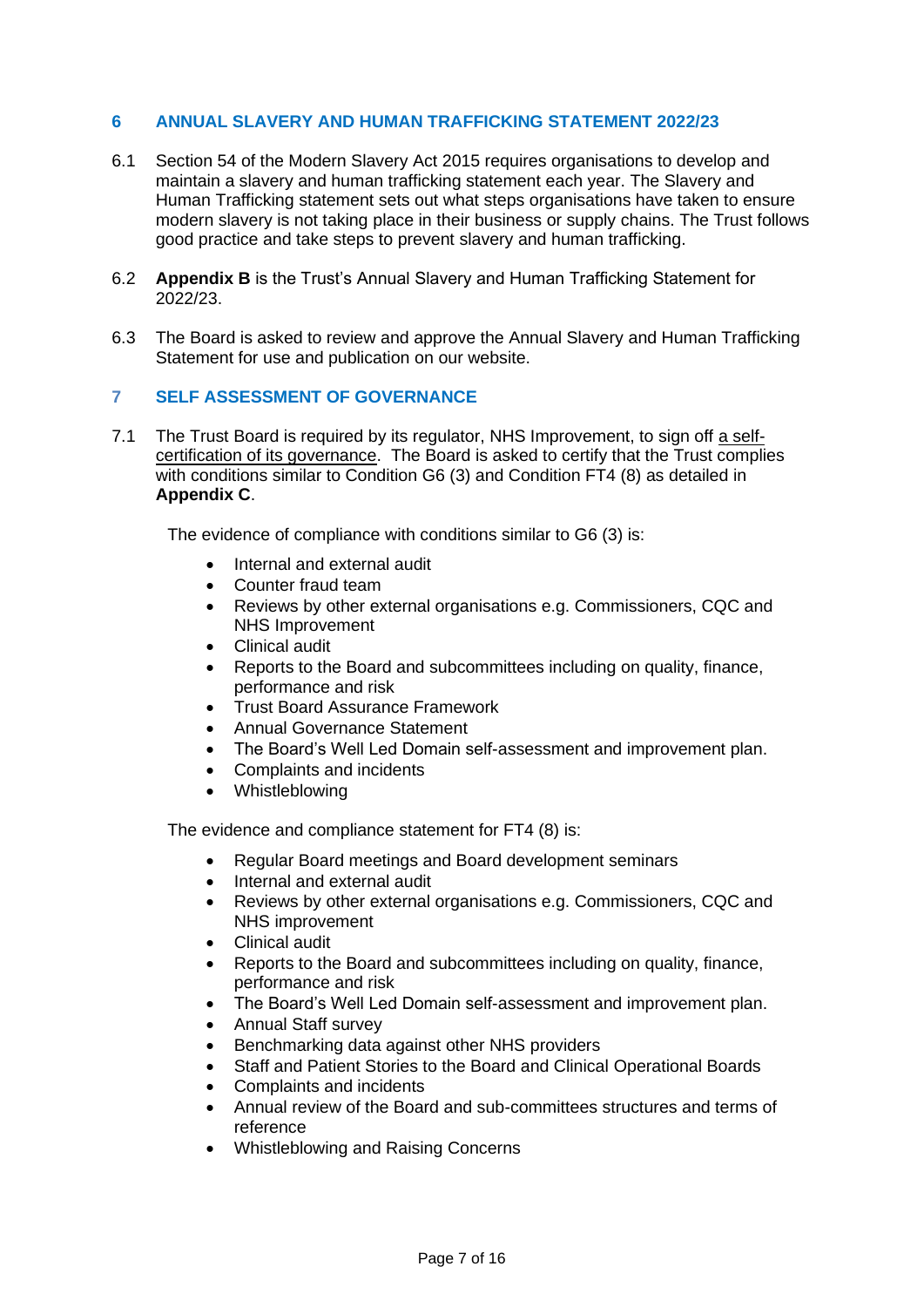#### **6 ANNUAL SLAVERY AND HUMAN TRAFFICKING STATEMENT 2022/23**

- 6.1 Section 54 of the Modern Slavery Act 2015 requires organisations to develop and maintain a slavery and human trafficking statement each year. The Slavery and Human Trafficking statement sets out what steps organisations have taken to ensure modern slavery is not taking place in their business or supply chains. The Trust follows good practice and take steps to prevent slavery and human trafficking.
- 6.2 **Appendix B** is the Trust's Annual Slavery and Human Trafficking Statement for 2022/23.
- 6.3 The Board is asked to review and approve the Annual Slavery and Human Trafficking Statement for use and publication on our website.

#### **7 SELF ASSESSMENT OF GOVERNANCE**

7.1 The Trust Board is required by its regulator, NHS Improvement, to sign off a selfcertification of its governance. The Board is asked to certify that the Trust complies with conditions similar to Condition G6 (3) and Condition FT4 (8) as detailed in **Appendix C**.

The evidence of compliance with conditions similar to G6 (3) is:

- Internal and external audit
- Counter fraud team
- Reviews by other external organisations e.g. Commissioners, CQC and NHS Improvement
- Clinical audit
- Reports to the Board and subcommittees including on quality, finance, performance and risk
- Trust Board Assurance Framework
- Annual Governance Statement
- The Board's Well Led Domain self-assessment and improvement plan.
- Complaints and incidents
- Whistleblowing

The evidence and compliance statement for FT4 (8) is:

- Regular Board meetings and Board development seminars
- Internal and external audit
- Reviews by other external organisations e.g. Commissioners, CQC and NHS improvement
- Clinical audit
- Reports to the Board and subcommittees including on quality, finance, performance and risk
- The Board's Well Led Domain self-assessment and improvement plan.
- Annual Staff survey
- Benchmarking data against other NHS providers
- Staff and Patient Stories to the Board and Clinical Operational Boards
- Complaints and incidents
- Annual review of the Board and sub-committees structures and terms of reference
- Whistleblowing and Raising Concerns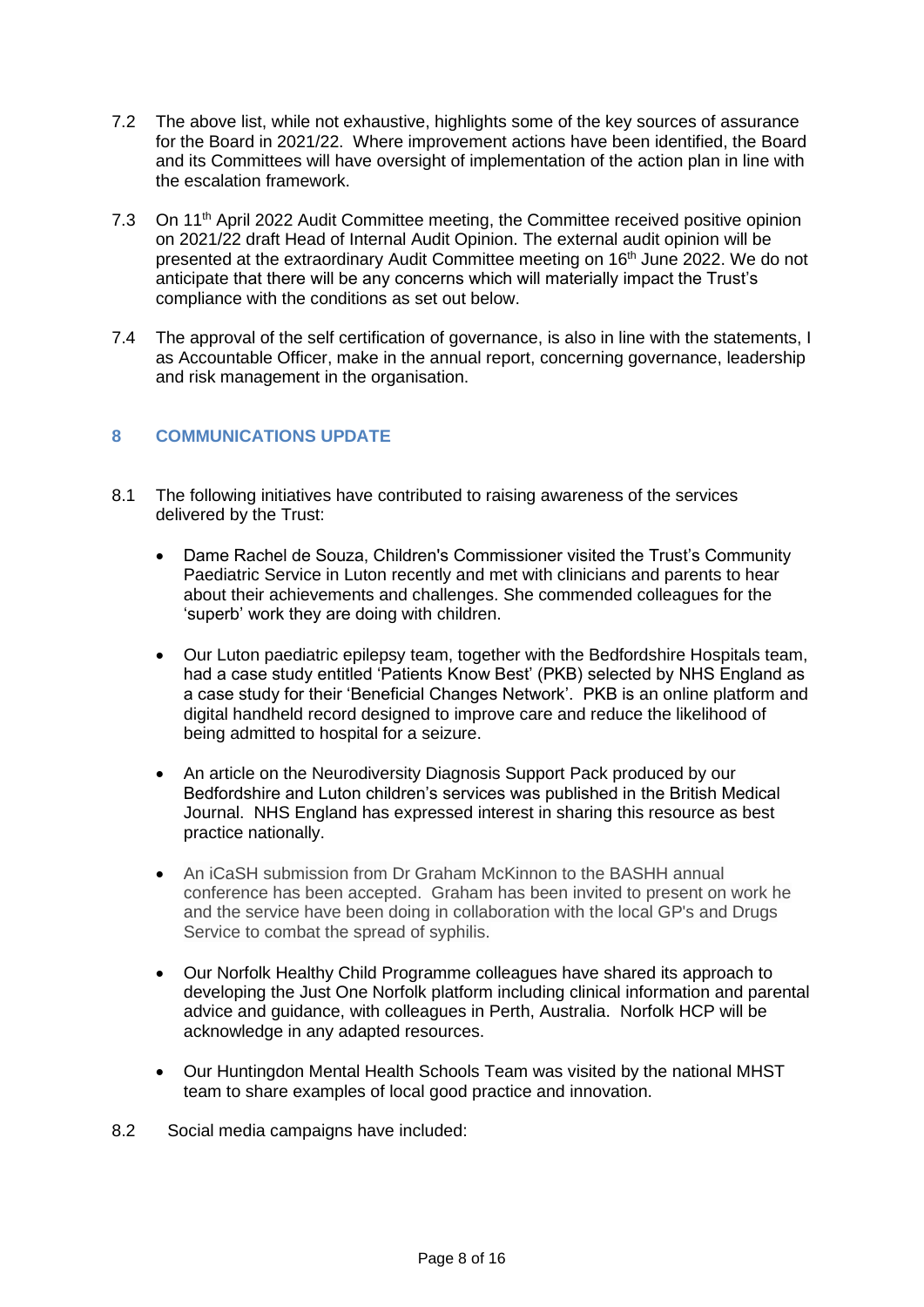- 7.2 The above list, while not exhaustive, highlights some of the key sources of assurance for the Board in 2021/22. Where improvement actions have been identified, the Board and its Committees will have oversight of implementation of the action plan in line with the escalation framework.
- 7.3 On 11<sup>th</sup> April 2022 Audit Committee meeting, the Committee received positive opinion on 2021/22 draft Head of Internal Audit Opinion. The external audit opinion will be presented at the extraordinary Audit Committee meeting on 16th June 2022. We do not anticipate that there will be any concerns which will materially impact the Trust's compliance with the conditions as set out below.
- 7.4 The approval of the self certification of governance, is also in line with the statements, I as Accountable Officer, make in the annual report, concerning governance, leadership and risk management in the organisation.

#### **8 COMMUNICATIONS UPDATE**

- 8.1 The following initiatives have contributed to raising awareness of the services delivered by the Trust:
	- Dame Rachel de Souza, Children's Commissioner visited the Trust's Community Paediatric Service in Luton recently and met with clinicians and parents to hear about their achievements and challenges. She commended colleagues for the 'superb' work they are doing with children.
	- Our Luton paediatric epilepsy team, together with the Bedfordshire Hospitals team, had a case study entitled 'Patients Know Best' (PKB) selected by NHS England as a case study for their 'Beneficial Changes Network'. PKB is an online platform and digital handheld record designed to improve care and reduce the likelihood of being admitted to hospital for a seizure.
	- An article on the Neurodiversity Diagnosis Support Pack produced by our Bedfordshire and Luton children's services was published in the British Medical Journal. NHS England has expressed interest in sharing this resource as best practice nationally.
	- An iCaSH submission from Dr Graham McKinnon to the BASHH annual conference has been accepted. Graham has been invited to present on work he and the service have been doing in collaboration with the local GP's and Drugs Service to combat the spread of syphilis.
	- Our Norfolk Healthy Child Programme colleagues have shared its approach to developing the Just One Norfolk platform including clinical information and parental advice and guidance, with colleagues in Perth, Australia. Norfolk HCP will be acknowledge in any adapted resources.
	- Our Huntingdon Mental Health Schools Team was visited by the national MHST team to share examples of local good practice and innovation.
- 8.2 Social media campaigns have included: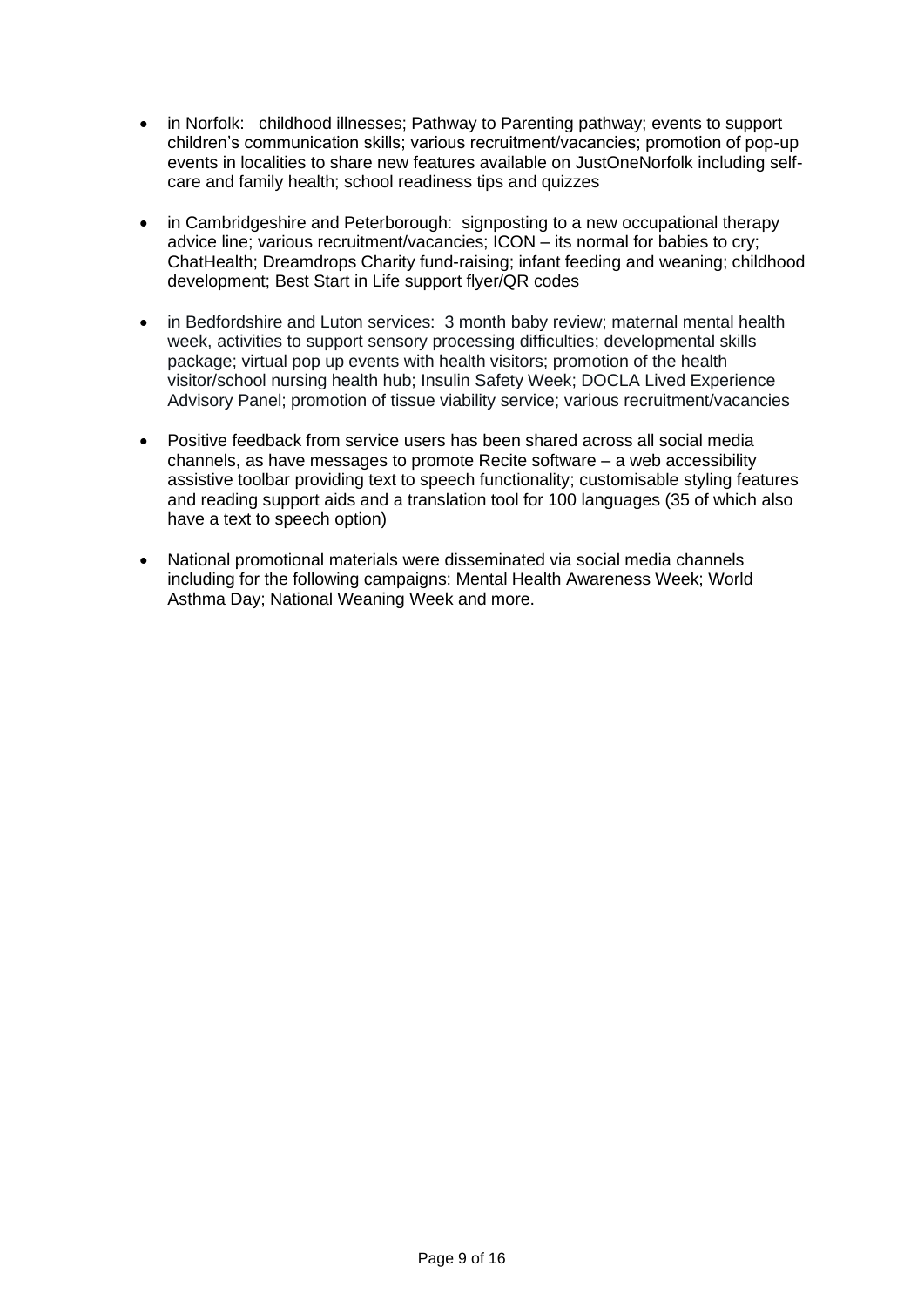- in Norfolk: childhood illnesses; Pathway to Parenting pathway; events to support children's communication skills; various recruitment/vacancies; promotion of pop-up events in localities to share new features available on JustOneNorfolk including selfcare and family health; school readiness tips and quizzes
- in Cambridgeshire and Peterborough: signposting to a new occupational therapy advice line; various recruitment/vacancies; ICON – its normal for babies to cry; ChatHealth; Dreamdrops Charity fund-raising; infant feeding and weaning; childhood development; Best Start in Life support flyer/QR codes
- in Bedfordshire and Luton services: 3 month baby review; maternal mental health week, activities to support sensory processing difficulties; developmental skills package; virtual pop up events with health visitors; promotion of the health visitor/school nursing health hub; Insulin Safety Week; DOCLA Lived Experience Advisory Panel; promotion of tissue viability service; various recruitment/vacancies
- Positive feedback from service users has been shared across all social media channels, as have messages to promote Recite software – a web accessibility assistive toolbar providing text to speech functionality; customisable styling features and reading support aids and a translation tool for 100 languages (35 of which also have a text to speech option)
- National promotional materials were disseminated via social media channels including for the following campaigns: Mental Health Awareness Week; World Asthma Day; National Weaning Week and more.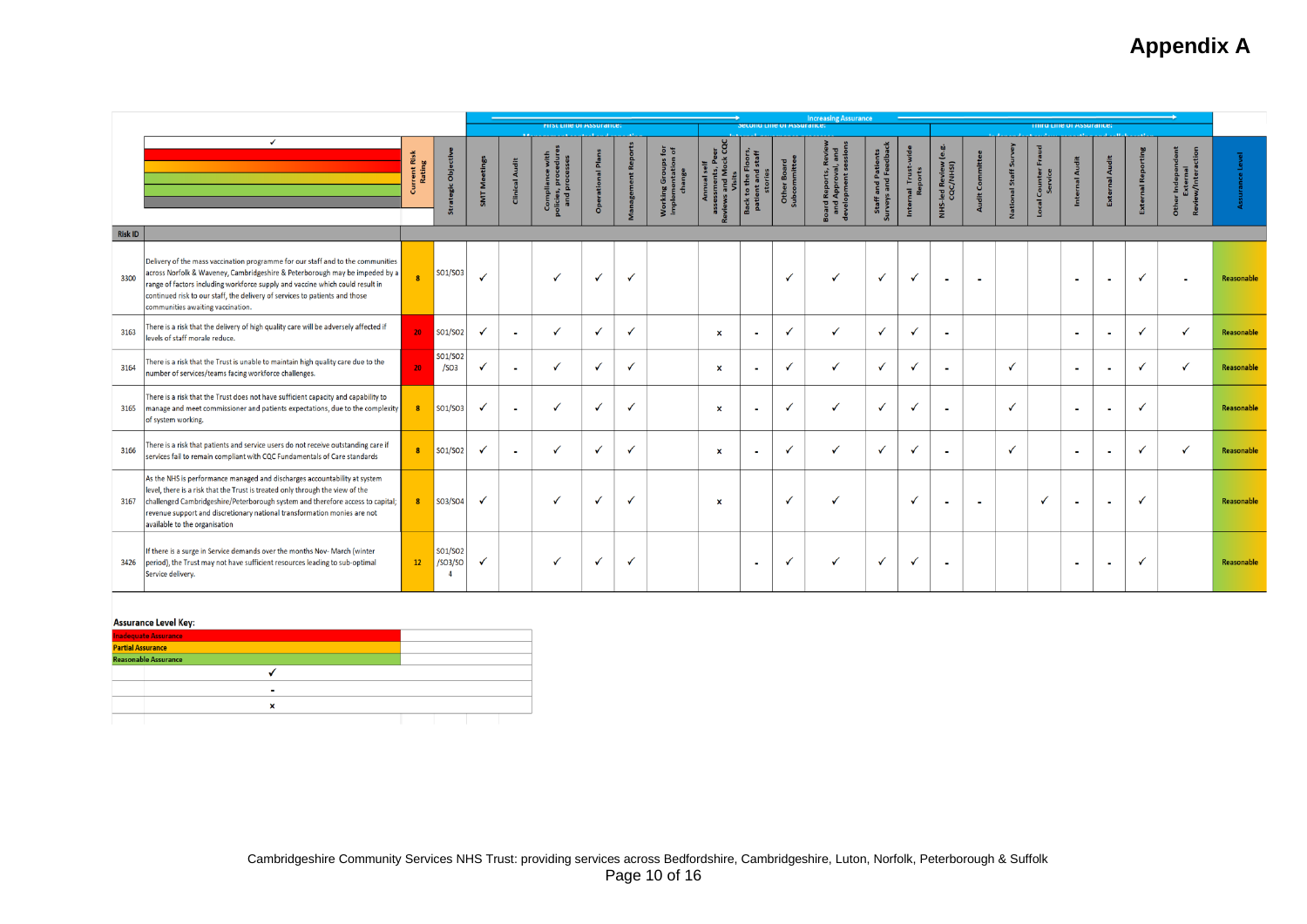# **Appendix A**

|         |                                                                                                                                                                                                                                                                                                                                                                     |                         |                                | <b>Increasing Assurance</b><br>FIFSt Line of Assurance:<br>Second Line of Assurance:<br><b>i niru Line oi Assurance;</b> |                       |                         |                       |                       |                    |                                |                          |               |                         |                |                         |                             |                          |                              |                             |                |                            |                       |                                                                         |            |
|---------|---------------------------------------------------------------------------------------------------------------------------------------------------------------------------------------------------------------------------------------------------------------------------------------------------------------------------------------------------------------------|-------------------------|--------------------------------|--------------------------------------------------------------------------------------------------------------------------|-----------------------|-------------------------|-----------------------|-----------------------|--------------------|--------------------------------|--------------------------|---------------|-------------------------|----------------|-------------------------|-----------------------------|--------------------------|------------------------------|-----------------------------|----------------|----------------------------|-----------------------|-------------------------------------------------------------------------|------------|
|         | $\checkmark$                                                                                                                                                                                                                                                                                                                                                        | ë<br>rrent Ri<br>Rating | $\overline{a}$                 | SMT <sub>M</sub>                                                                                                         | <b>Clinical Audit</b> | Complian<br>Dicies, pro | al Plan<br>ation<br>å | <b>PS</b><br>$\sharp$ | 호 ㅎ<br>ng Gr<br>ुः | ະ<br>ແ<br>$\frac{1}{2}$<br>5 F | $\mathbf{e}$<br>품.       | Othe<br>Subco | Rep<br>App<br><b>TE</b> | and F<br>Staff | Trust<br>$\overline{a}$ | ತಿ<br>ed Review<br>QC/NHSI) | dit Comm                 | Ĵ<br>Staff<br>$\overline{a}$ | Fraud<br>Counter<br>Service | दै<br>Internal | ಕ<br>$\frac{1}{5}$<br>Exte | Rep<br>$\overline{a}$ | וdepen.<br>תernal<br>יומפרו<br>r Indepe<br>Externa<br>w/Inter<br>흉<br>æ |            |
| Risk ID |                                                                                                                                                                                                                                                                                                                                                                     |                         |                                |                                                                                                                          |                       |                         |                       |                       |                    |                                |                          |               |                         |                |                         |                             |                          |                              |                             |                |                            |                       |                                                                         |            |
| 3300    | Delivery of the mass vaccination programme for our staff and to the communities<br>across Norfolk & Waveney, Cambridgeshire & Peterborough may be impeded by a<br>range of factors including workforce supply and vaccine which could result in<br>continued risk to our staff, the delivery of services to patients and those<br>communities awaiting vaccination. |                         | SO1/SO3                        |                                                                                                                          |                       |                         |                       | ✓                     |                    |                                |                          |               |                         | $\checkmark$   |                         |                             |                          |                              |                             | $\blacksquare$ | $\sim$                     | √                     |                                                                         | Reasonable |
| 3163    | There is a risk that the delivery of high quality care will be adversely affected if<br>levels of staff morale reduce.                                                                                                                                                                                                                                              | 20                      | SO1/SO2                        | $\checkmark$                                                                                                             | $\sim$                |                         | $\checkmark$          | $\checkmark$          |                    | $\boldsymbol{\mathsf{x}}$      | $\sim$                   | ✓             | $\checkmark$            | $\checkmark$   | √                       | $\blacksquare$              |                          |                              |                             | $\sim$         | ×                          | ✓                     | $\checkmark$                                                            | Reasonable |
| 3164    | There is a risk that the Trust is unable to maintain high quality care due to the<br>number of services/teams facing workforce challenges.                                                                                                                                                                                                                          |                         | SO1/SO2<br>/SO <sub>3</sub>    | $\checkmark$                                                                                                             | $\sim$                |                         |                       | √                     |                    | $\boldsymbol{\mathsf{x}}$      | $\blacksquare$           | √             |                         | V              |                         | $\blacksquare$              |                          | $\checkmark$                 |                             | $\sim$         | ٠                          | ✓                     | $\checkmark$                                                            | Reasonable |
| 3165    | There is a risk that the Trust does not have sufficient capacity and capability to<br>$\vert$ manage and meet commissioner and patients expectations, due to the complexity $\vert\vert$<br>of system working.                                                                                                                                                      |                         | SO1/SO3                        | $\checkmark$                                                                                                             |                       |                         |                       | $\checkmark$          |                    | $\boldsymbol{\mathsf{x}}$      | $\overline{\phantom{a}}$ |               |                         | $\checkmark$   |                         |                             |                          | $\boldsymbol{J}$             |                             | $\blacksquare$ | $\blacksquare$             | $\checkmark$          |                                                                         | Reasonable |
| 3166    | There is a risk that patients and service users do not receive outstanding care if<br>services fail to remain compliant with CQC Fundamentals of Care standards                                                                                                                                                                                                     |                         | SO1/SO <sub>2</sub>            |                                                                                                                          | $\blacksquare$        |                         |                       | $\checkmark$          |                    | $\boldsymbol{\mathsf{x}}$      | $\overline{\phantom{a}}$ | $\checkmark$  | $\checkmark$            | $\checkmark$   |                         |                             |                          | $\checkmark$                 |                             | $\sim$         | ٠                          | √                     |                                                                         | Reasonable |
| 3167    | As the NHS is performance managed and discharges accountability at system<br>level, there is a risk that the Trust is treated only through the view of the<br>challenged Cambridgeshire/Peterborough system and therefore access to capital;<br>revenue support and discretionary national transformation monies are not<br>available to the organisation           |                         | SO3/SO4                        | $\checkmark$                                                                                                             |                       |                         |                       | ✓                     |                    | $\boldsymbol{\mathsf{x}}$      |                          | $\checkmark$  | √                       |                | ✓                       | $\blacksquare$              | $\overline{\phantom{a}}$ |                              | ✓                           | $\sim$         | $\overline{\phantom{a}}$   | ✓                     |                                                                         | Reasonable |
| 3426    | If there is a surge in Service demands over the months Nov- March (winter<br>period), the Trust may not have sufficient resources leading to sub-optimal<br>Service delivery.                                                                                                                                                                                       | 12                      | SO1/SO <sub>2</sub><br>/SO3/SO | ✓                                                                                                                        |                       |                         |                       | ✓                     |                    |                                | $\overline{\phantom{a}}$ | √             |                         | ✓              | ✓                       |                             |                          |                              |                             | $\sim$         | $\blacksquare$             | $\checkmark$          |                                                                         | Reasonable |

#### **Assurance Level Key:**

| <mark>Inadequate Assurance<br/>Partial Assurance</mark> |  |  |  |
|---------------------------------------------------------|--|--|--|
|                                                         |  |  |  |
| <b>Reasonable Assurance</b>                             |  |  |  |
|                                                         |  |  |  |
|                                                         |  |  |  |
|                                                         |  |  |  |
|                                                         |  |  |  |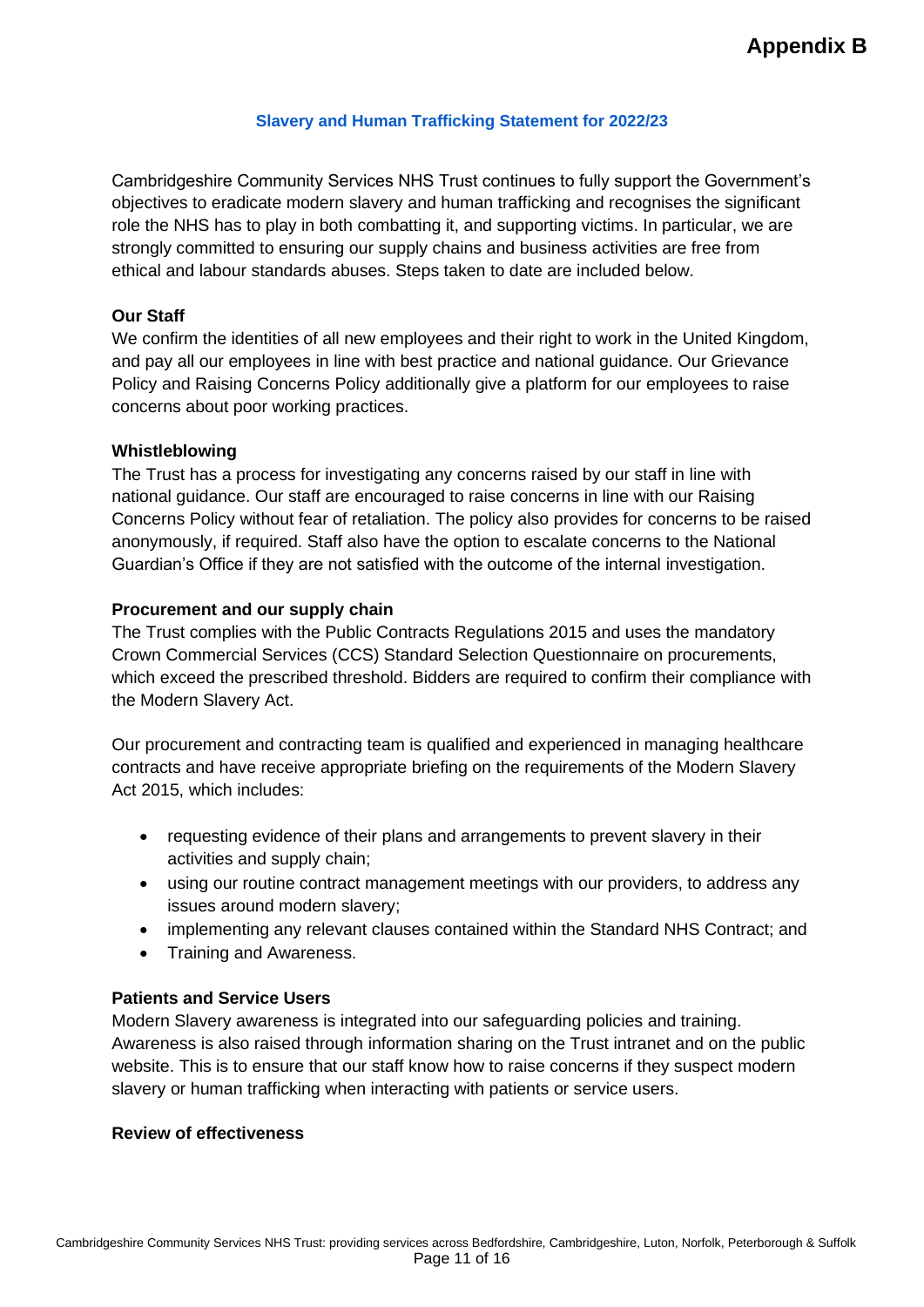#### **Slavery and Human Trafficking Statement for 2022/23**

Cambridgeshire Community Services NHS Trust continues to fully support the Government's objectives to eradicate modern slavery and human trafficking and recognises the significant role the NHS has to play in both combatting it, and supporting victims. In particular, we are strongly committed to ensuring our supply chains and business activities are free from ethical and labour standards abuses. Steps taken to date are included below.

#### **Our Staff**

We confirm the identities of all new employees and their right to work in the United Kingdom, and pay all our employees in line with best practice and national guidance. Our Grievance Policy and Raising Concerns Policy additionally give a platform for our employees to raise concerns about poor working practices.

#### **Whistleblowing**

The Trust has a process for investigating any concerns raised by our staff in line with national guidance. Our staff are encouraged to raise concerns in line with our Raising Concerns Policy without fear of retaliation. The policy also provides for concerns to be raised anonymously, if required. Staff also have the option to escalate concerns to the National Guardian's Office if they are not satisfied with the outcome of the internal investigation.

#### **Procurement and our supply chain**

The Trust complies with the Public Contracts Regulations 2015 and uses the mandatory Crown Commercial Services (CCS) Standard Selection Questionnaire on procurements, which exceed the prescribed threshold. Bidders are required to confirm their compliance with the Modern Slavery Act.

Our procurement and contracting team is qualified and experienced in managing healthcare contracts and have receive appropriate briefing on the requirements of the Modern Slavery Act 2015, which includes:

- requesting evidence of their plans and arrangements to prevent slavery in their activities and supply chain;
- using our routine contract management meetings with our providers, to address any issues around modern slavery;
- implementing any relevant clauses contained within the Standard NHS Contract; and
- Training and Awareness.

#### **Patients and Service Users**

Modern Slavery awareness is integrated into our safeguarding policies and training. Awareness is also raised through information sharing on the Trust intranet and on the public website. This is to ensure that our staff know how to raise concerns if they suspect modern slavery or human trafficking when interacting with patients or service users.

#### **Review of effectiveness**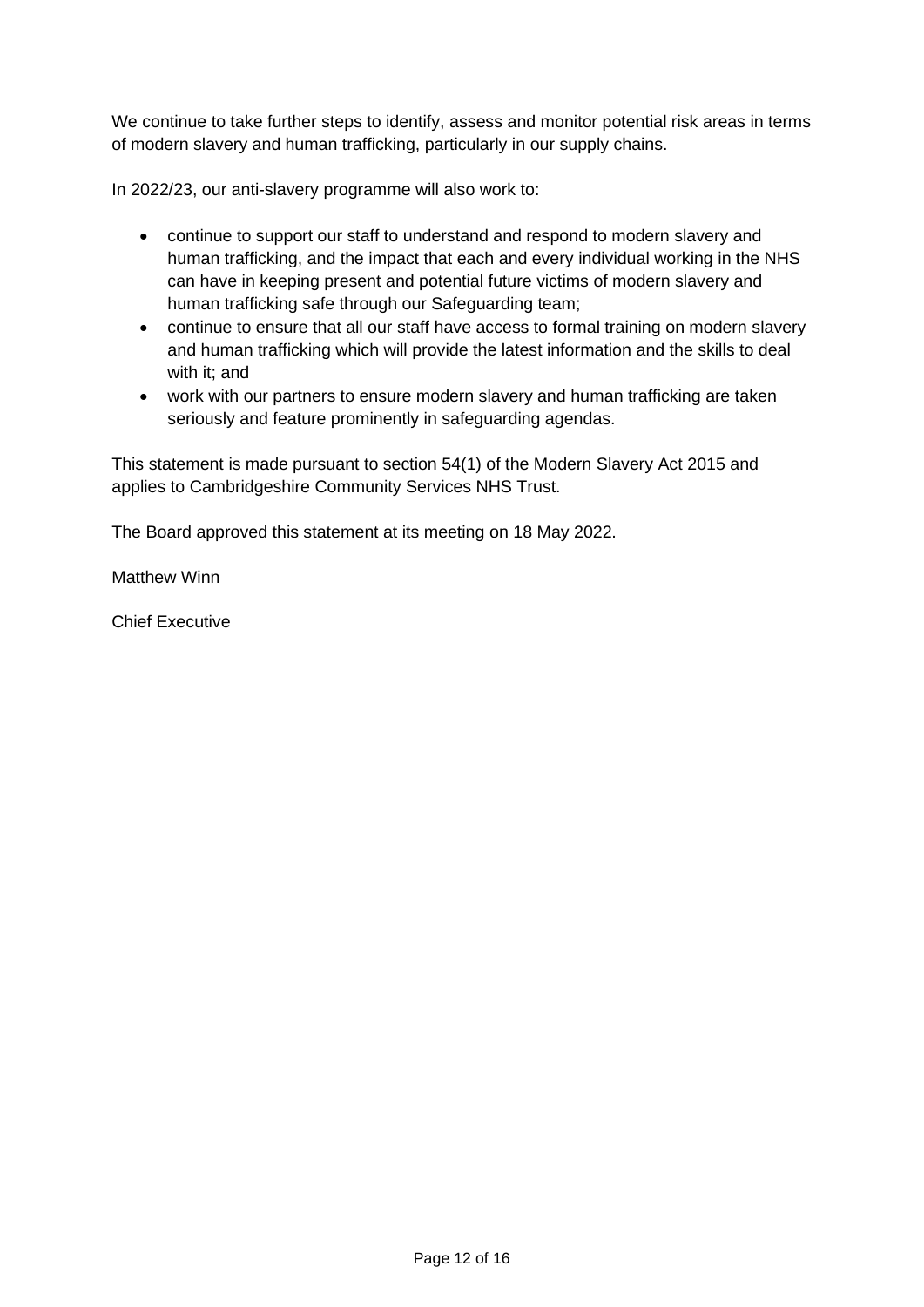We continue to take further steps to identify, assess and monitor potential risk areas in terms of modern slavery and human trafficking, particularly in our supply chains.

In 2022/23, our anti-slavery programme will also work to:

- continue to support our staff to understand and respond to modern slavery and human trafficking, and the impact that each and every individual working in the NHS can have in keeping present and potential future victims of modern slavery and human trafficking safe through our Safeguarding team;
- continue to ensure that all our staff have access to formal training on modern slavery and human trafficking which will provide the latest information and the skills to deal with it; and
- work with our partners to ensure modern slavery and human trafficking are taken seriously and feature prominently in safeguarding agendas.

This statement is made pursuant to section 54(1) of the Modern Slavery Act 2015 and applies to Cambridgeshire Community Services NHS Trust.

The Board approved this statement at its meeting on 18 May 2022.

Matthew Winn

Chief Executive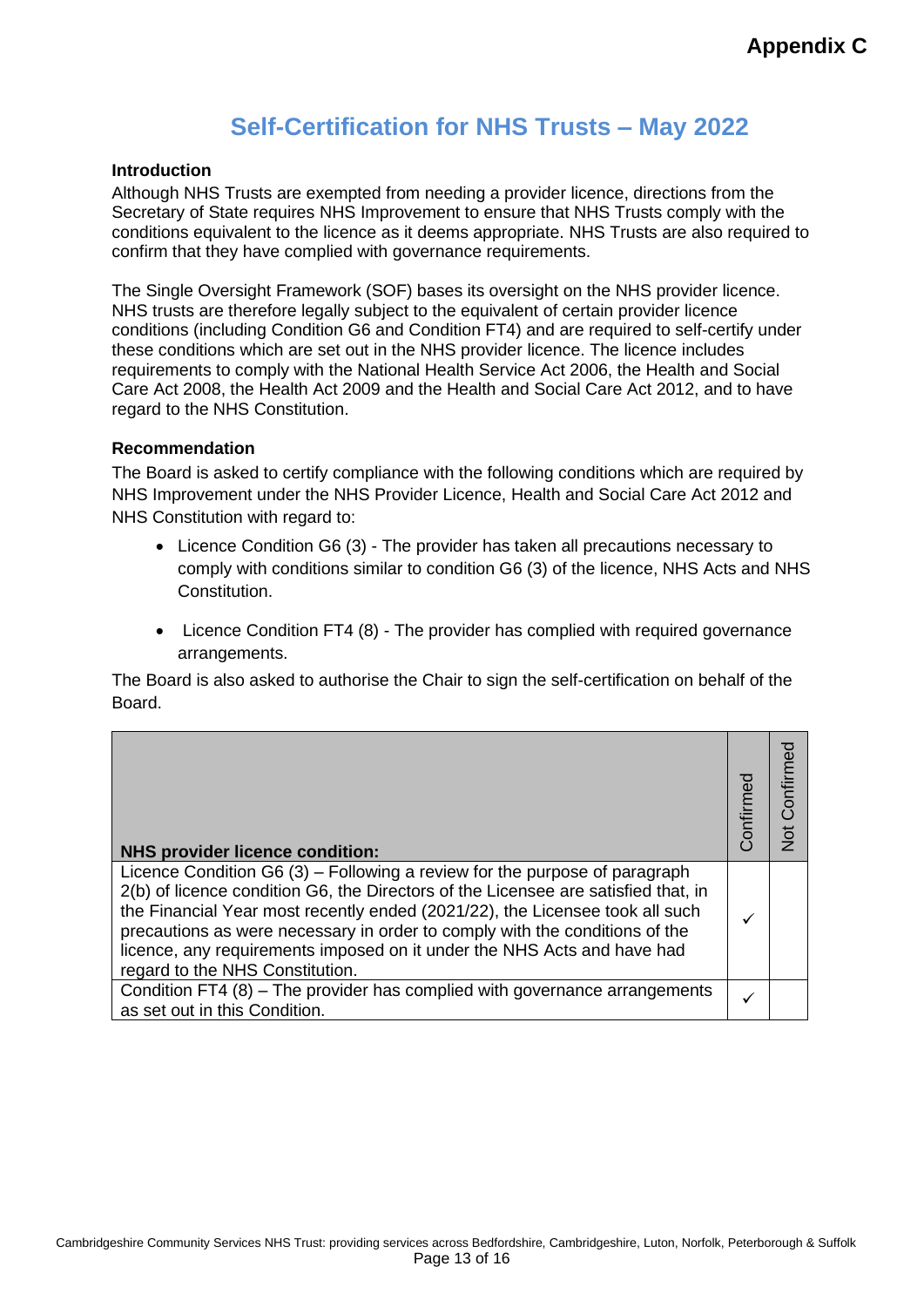# **Self-Certification for NHS Trusts – May 2022**

#### **Introduction**

Although NHS Trusts are exempted from needing a provider licence, directions from the Secretary of State requires NHS Improvement to ensure that NHS Trusts comply with the conditions equivalent to the licence as it deems appropriate. NHS Trusts are also required to confirm that they have complied with governance requirements.

The Single Oversight Framework (SOF) bases its oversight on the NHS provider licence. NHS trusts are therefore legally subject to the equivalent of certain provider licence conditions (including Condition G6 and Condition FT4) and are required to self-certify under these conditions which are set out in the NHS provider licence. The licence includes requirements to comply with the National Health Service Act 2006, the Health and Social Care Act 2008, the Health Act 2009 and the Health and Social Care Act 2012, and to have regard to the NHS Constitution.

#### **Recommendation**

The Board is asked to certify compliance with the following conditions which are required by NHS Improvement under the NHS Provider Licence, Health and Social Care Act 2012 and NHS Constitution with regard to:

- Licence Condition G6 (3) The provider has taken all precautions necessary to comply with conditions similar to condition G6 (3) of the licence, NHS Acts and NHS Constitution.
- Licence Condition FT4 (8) The provider has complied with required governance arrangements.

The Board is also asked to authorise the Chair to sign the self-certification on behalf of the Board.

| <b>NHS provider licence condition:</b>                                                                                                                                                                                                                                                                                                                                                                                                          | Confirmed | Not Confirmed |
|-------------------------------------------------------------------------------------------------------------------------------------------------------------------------------------------------------------------------------------------------------------------------------------------------------------------------------------------------------------------------------------------------------------------------------------------------|-----------|---------------|
| Licence Condition G6 $(3)$ – Following a review for the purpose of paragraph<br>2(b) of licence condition G6, the Directors of the Licensee are satisfied that, in<br>the Financial Year most recently ended (2021/22), the Licensee took all such<br>precautions as were necessary in order to comply with the conditions of the<br>licence, any requirements imposed on it under the NHS Acts and have had<br>regard to the NHS Constitution. |           |               |
| Condition FT4 (8) – The provider has complied with governance arrangements<br>as set out in this Condition.                                                                                                                                                                                                                                                                                                                                     | ✓         |               |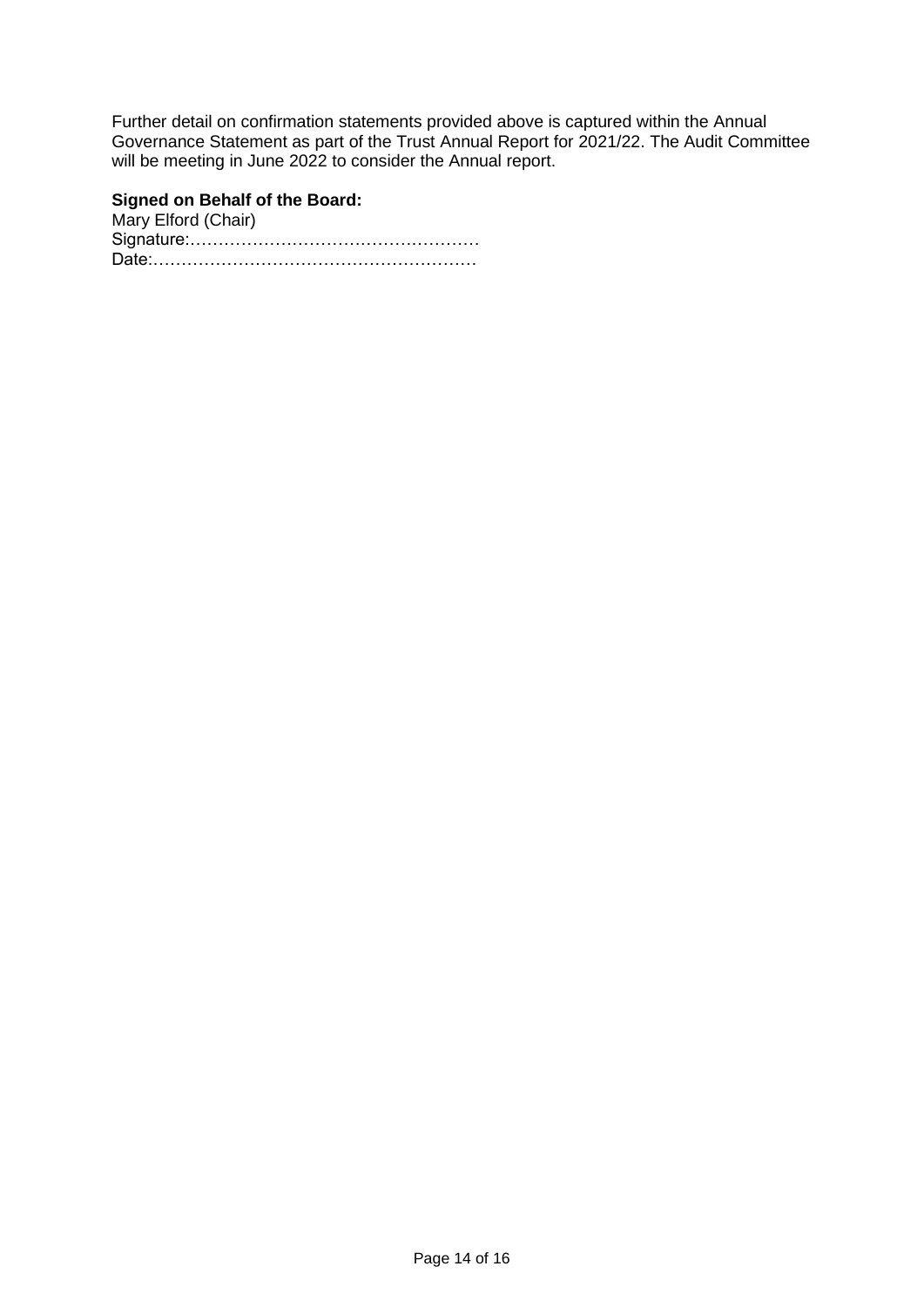Further detail on confirmation statements provided above is captured within the Annual Governance Statement as part of the Trust Annual Report for 2021/22. The Audit Committee will be meeting in June 2022 to consider the Annual report.

#### **Signed on Behalf of the Board:**

Mary Elford (Chair) Signature:…………………………………………… Date:…………………………………………………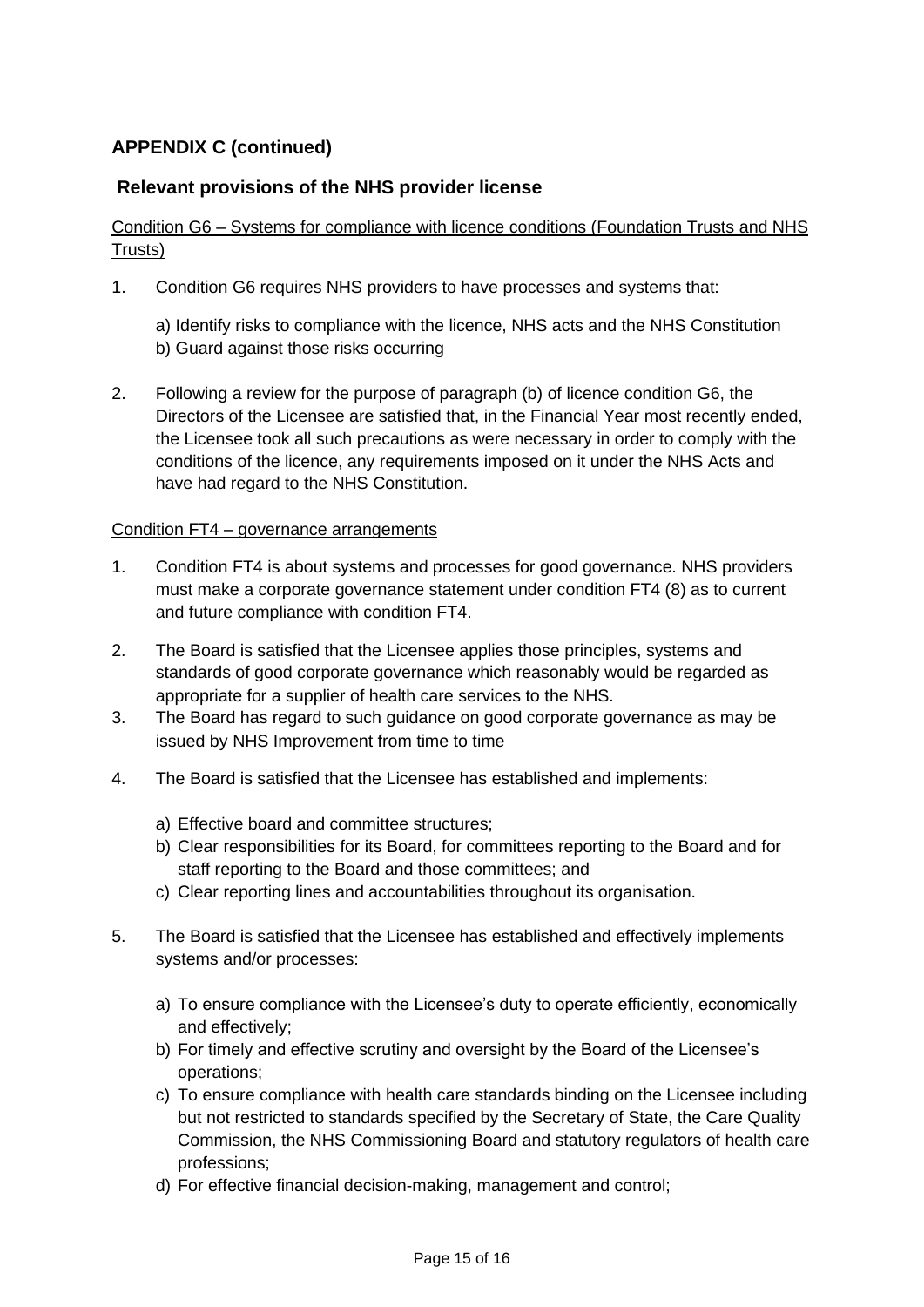## **APPENDIX C (continued)**

### **Relevant provisions of the NHS provider license**

### Condition G6 – Systems for compliance with licence conditions (Foundation Trusts and NHS Trusts)

- 1. Condition G6 requires NHS providers to have processes and systems that:
	- a) Identify risks to compliance with the licence, NHS acts and the NHS Constitution b) Guard against those risks occurring
- 2. Following a review for the purpose of paragraph (b) of licence condition G6, the Directors of the Licensee are satisfied that, in the Financial Year most recently ended, the Licensee took all such precautions as were necessary in order to comply with the conditions of the licence, any requirements imposed on it under the NHS Acts and have had regard to the NHS Constitution.

#### Condition FT4 – governance arrangements

- 1. Condition FT4 is about systems and processes for good governance. NHS providers must make a corporate governance statement under condition FT4 (8) as to current and future compliance with condition FT4.
- 2. The Board is satisfied that the Licensee applies those principles, systems and standards of good corporate governance which reasonably would be regarded as appropriate for a supplier of health care services to the NHS.
- 3. The Board has regard to such guidance on good corporate governance as may be issued by NHS Improvement from time to time
- 4. The Board is satisfied that the Licensee has established and implements:
	- a) Effective board and committee structures;
	- b) Clear responsibilities for its Board, for committees reporting to the Board and for staff reporting to the Board and those committees; and
	- c) Clear reporting lines and accountabilities throughout its organisation.
- 5. The Board is satisfied that the Licensee has established and effectively implements systems and/or processes:
	- a) To ensure compliance with the Licensee's duty to operate efficiently, economically and effectively;
	- b) For timely and effective scrutiny and oversight by the Board of the Licensee's operations;
	- c) To ensure compliance with health care standards binding on the Licensee including but not restricted to standards specified by the Secretary of State, the Care Quality Commission, the NHS Commissioning Board and statutory regulators of health care professions;
	- d) For effective financial decision-making, management and control;